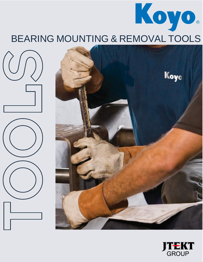# BEARING MOUNTING & REMOVAL TOOLS

 $UQ$ 





Koyo.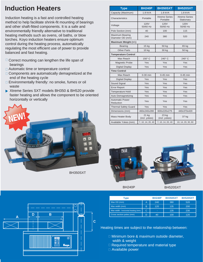#### **Induction Heaters**

Induction heating is a fast and controlled heating method to help facilitate shrink-fit mounting of bearings and other shaft-fitted components. It is a safe and environmentally friendly alternative to traditional heating methods such as ovens, oil baths, or blow torches. Koyo induction heaters ensure optimum control during the heating process, automatically regulating the most efficient use of power to provide balanced and fast heating.

- $\Box$  Correct mounting can lengthen the life span of bearings
- **Automatic time or temperature control**
- □ Components are automatically demagnetized at the end of the heating cycle
- □ Environmentally friendly: no smoke, fumes or oil waste
- Xtreme Series SXT models BH350 & BH520 provide faster heating and allows the component to be oriented horizontally or vertically



BH350SXT

| Type                                       | <b>BH240P</b>           | <b>BH350SXT</b>                  | <b>BH520SXT</b>                    |  |  |  |  |
|--------------------------------------------|-------------------------|----------------------------------|------------------------------------|--|--|--|--|
| Capacity (Maximum)                         | 1.8 kVA                 | 1.8 kVA                          | 1.8 kVA                            |  |  |  |  |
| Characteristics                            | Portable                | <b>Xtreme Series</b><br>Portable | <b>Xtreme Series</b><br>Stationary |  |  |  |  |
| Voltage                                    | <b>120V</b><br>50/60 Hz | <b>120V</b><br>50/60 Hz          | <b>120V</b><br>50/60 Hz            |  |  |  |  |
| Pole Section (mm)                          | 40                      | 100                              | 115                                |  |  |  |  |
| <b>Maximum Bearing</b><br>Diameter OD (mm) | 240                     | 380                              | 520                                |  |  |  |  |
| Maximum Weight (+/-)                       |                         |                                  |                                    |  |  |  |  |
| <b>Bearing</b>                             | 15 kg                   | 50 kg                            | 65 kg                              |  |  |  |  |
| <b>Other Parts</b>                         | 10 kg                   | 30 kg                            | 50 kg                              |  |  |  |  |
| <b>Temperature Control</b>                 |                         |                                  |                                    |  |  |  |  |
| Max Reach                                  | 150° C                  | $240^\circ$ C                    | 240°C                              |  |  |  |  |
| <b>Magnetic Probe</b>                      | Yes                     | Yes                              | Yes                                |  |  |  |  |
| <b>Digital Display</b>                     | Yes                     | Yes                              | Yes                                |  |  |  |  |
| <b>Time Control</b>                        |                         |                                  |                                    |  |  |  |  |
| Max Reach                                  | $0-30$ min              | $0-45$ min                       | $0-45$ min                         |  |  |  |  |
| <b>Digital Display</b>                     | Yes                     | Yes                              | Yes                                |  |  |  |  |
| Sound Signal                               | Yes                     | Yes                              | Yes                                |  |  |  |  |
| <b>Error Report</b>                        | Yes                     | Yes                              | Yes                                |  |  |  |  |
| <b>Temperature Hold</b>                    | Yes                     | Yes                              | Yes                                |  |  |  |  |
| Auto Demagnetizing                         | Yes                     | Yes                              | Yes                                |  |  |  |  |
| <b>Automatic Power</b><br>Reduction        | Yes                     | Yes                              | Yes                                |  |  |  |  |
| <b>Thermal Safety Guard</b>                | Yes                     | Yes                              | Yes                                |  |  |  |  |
| Dimensions (mm)                            | 460x240x280             | 600x220x275                      | 440x370x420                        |  |  |  |  |
| <b>Mass Heater Body</b>                    | 21 kg<br>(incl. yokes)  | 23 kg<br>(incl. yokes)           | 37 kg                              |  |  |  |  |
| Available Yokes (mm)                       | 7, 10, 14, 20, 40       | 7, 10, 14, 20, 40                | 10, 14, 20, 30, 60                 |  |  |  |  |



| Type                                |   | <b>BH240P</b> | <b>BH350SXT</b> | <b>BH520SXT</b> |
|-------------------------------------|---|---------------|-----------------|-----------------|
| Max OD (mm)                         | A | 240           | 380             | 520             |
| Max width (mm)                      | B | 120           | 135             | 200             |
| Max width - horizontal heating (mm) | C | ٠             | 135             | 230             |
| Cross section poles (mm)            | D | 40            | 100             | 120             |

Heating times are subject to the relationship between:

- □ Minimum bore & maximum outside diameter, width & weight
- □ Required temperature and material type
- Available power

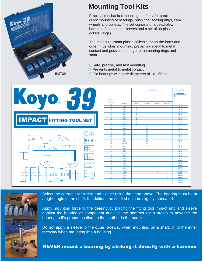

## **Mounting Tool Kits**

Practical mechanical mounting set for safe, precise and quick mounting of bearings, bushings, sealing rings, cam wheels and pulleys. The set consists of a dead-blow hammer, 3 aluminum sleeves and a set of 39 plastic collets (rings).

The impact resistant plastic collets support the inner and outer rings when mounting, preventing metal to metal contact and possible damage to the bearing rings and shaft.

- □ Safe, precise, and fast mounting
- □ Prevents metal to metal contact
- $\Box$  For bearings with bore diameters of 10 60mm





Select the correct collett size and sleeve using the chart above. The bearing must be at a right angle to the shaft. In addition, the shaft should be slightly lubricated.

Apply mounting force to the bearing by placing the fitting tool impact ring and sleeve against the bearing or component and use the hammer (or a press) to advance the bearing to it's proper location on the shaft or in the housing.

Do not apply a sleeve to the outer raceway when mounting on a shaft, or to the inner raceway when mounting into a housing.

#### NEVER mount a bearing by striking it directly with a hammer